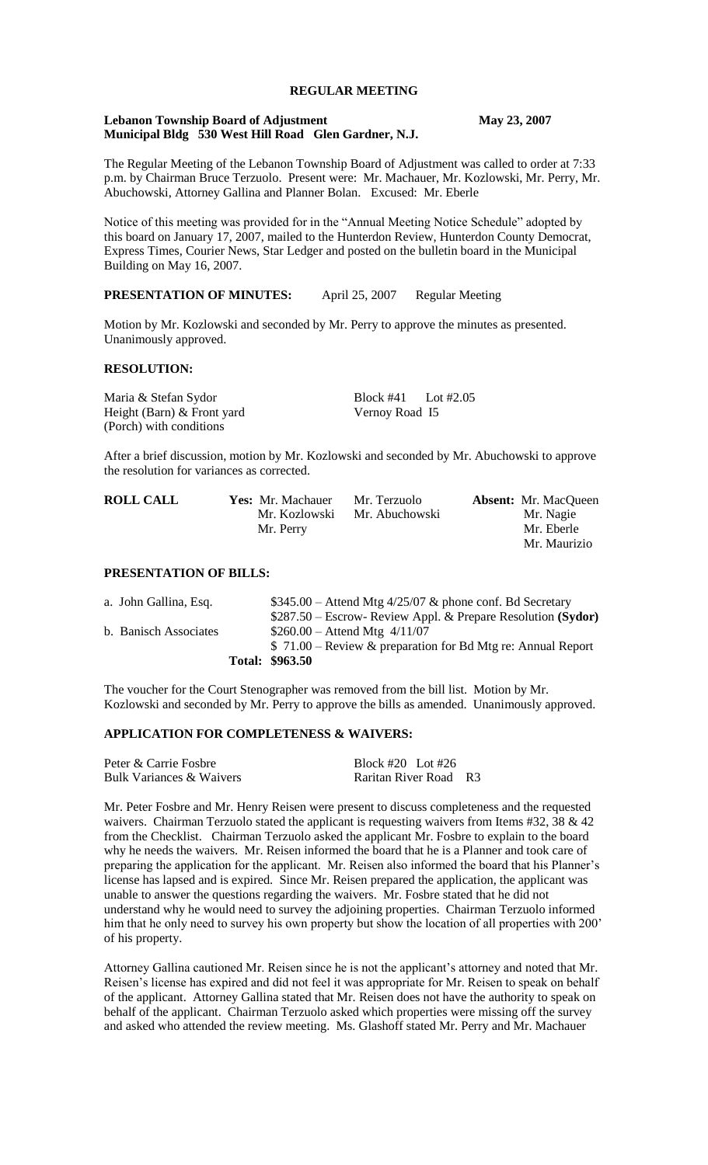# **REGULAR MEETING**

#### **Lebanon Township Board of Adjustment May 23, 2007 Municipal Bldg 530 West Hill Road Glen Gardner, N.J.**

The Regular Meeting of the Lebanon Township Board of Adjustment was called to order at 7:33 p.m. by Chairman Bruce Terzuolo. Present were: Mr. Machauer, Mr. Kozlowski, Mr. Perry, Mr. Abuchowski, Attorney Gallina and Planner Bolan. Excused: Mr. Eberle

Notice of this meeting was provided for in the "Annual Meeting Notice Schedule" adopted by this board on January 17, 2007, mailed to the Hunterdon Review, Hunterdon County Democrat, Express Times, Courier News, Star Ledger and posted on the bulletin board in the Municipal Building on May 16, 2007.

#### **PRESENTATION OF MINUTES:** April 25, 2007 Regular Meeting

Motion by Mr. Kozlowski and seconded by Mr. Perry to approve the minutes as presented. Unanimously approved.

## **RESOLUTION:**

Maria & Stefan Sydor Block #41 Lot #2.05 Height (Barn) & Front yard Vernoy Road I5 (Porch) with conditions

After a brief discussion, motion by Mr. Kozlowski and seconded by Mr. Abuchowski to approve the resolution for variances as corrected.

| <b>ROLL CALL</b> | <b>Yes:</b> Mr. Machauer | Mr. Terzuolo   | <b>Absent:</b> Mr. MacQueen |
|------------------|--------------------------|----------------|-----------------------------|
|                  | Mr. Kozlowski            | Mr. Abuchowski | Mr. Nagie                   |
|                  | Mr. Perry                |                | Mr. Eberle                  |
|                  |                          |                | Mr. Maurizio                |

# **PRESENTATION OF BILLS:**

|                       | Total: \$963.50                                              |
|-----------------------|--------------------------------------------------------------|
|                       | $$71.00 - Review & preparation for Bd Mtg re: Annual Report$ |
| b. Banisch Associates | $$260.00 -$ Attend Mtg $4/11/07$                             |
|                       | \$287.50 – Escrow- Review Appl. & Prepare Resolution (Sydor) |
| a. John Gallina, Esq. | $$345.00 -$ Attend Mtg 4/25/07 & phone conf. Bd Secretary    |

The voucher for the Court Stenographer was removed from the bill list. Motion by Mr. Kozlowski and seconded by Mr. Perry to approve the bills as amended. Unanimously approved.

#### **APPLICATION FOR COMPLETENESS & WAIVERS:**

| Peter & Carrie Fosbre    | Block #20 Lot #26     |
|--------------------------|-----------------------|
| Bulk Variances & Waivers | Raritan River Road R3 |

Mr. Peter Fosbre and Mr. Henry Reisen were present to discuss completeness and the requested waivers. Chairman Terzuolo stated the applicant is requesting waivers from Items #32, 38 & 42 from the Checklist. Chairman Terzuolo asked the applicant Mr. Fosbre to explain to the board why he needs the waivers. Mr. Reisen informed the board that he is a Planner and took care of preparing the application for the applicant. Mr. Reisen also informed the board that his Planner's license has lapsed and is expired. Since Mr. Reisen prepared the application, the applicant was unable to answer the questions regarding the waivers. Mr. Fosbre stated that he did not understand why he would need to survey the adjoining properties. Chairman Terzuolo informed him that he only need to survey his own property but show the location of all properties with 200<sup>'</sup> of his property.

Attorney Gallina cautioned Mr. Reisen since he is not the applicant's attorney and noted that Mr. Reisen's license has expired and did not feel it was appropriate for Mr. Reisen to speak on behalf of the applicant. Attorney Gallina stated that Mr. Reisen does not have the authority to speak on behalf of the applicant. Chairman Terzuolo asked which properties were missing off the survey and asked who attended the review meeting. Ms. Glashoff stated Mr. Perry and Mr. Machauer